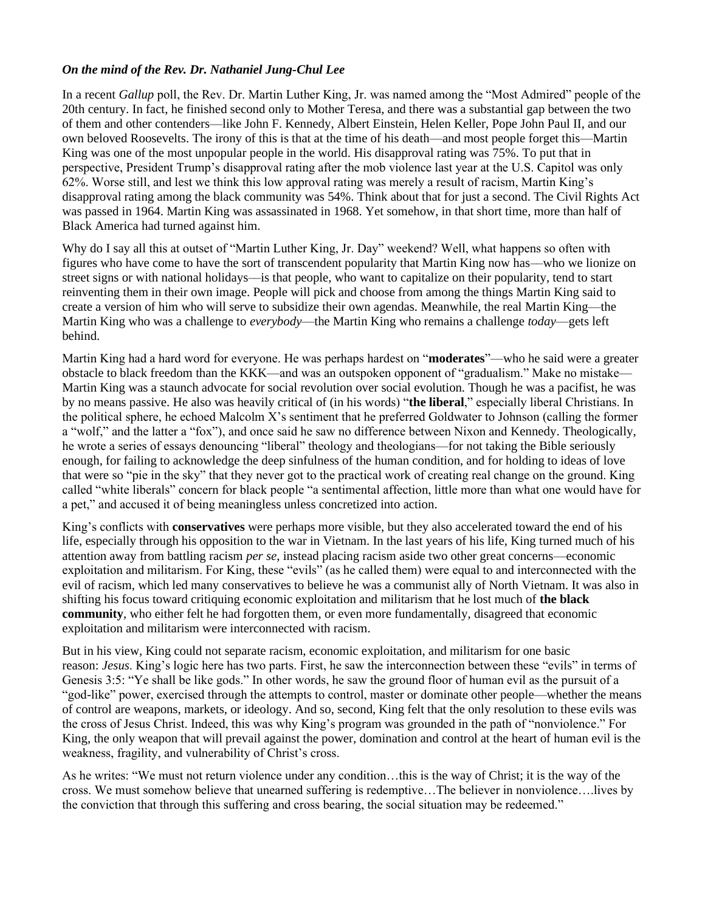# *On the mind of the Rev. Dr. Nathaniel Jung-Chul Lee*

In a recent *Gallup* poll, the Rev. Dr. Martin Luther King, Jr. was named among the "Most Admired" people of the 20th century. In fact, he finished second only to Mother Teresa, and there was a substantial gap between the two of them and other contenders––like John F. Kennedy, Albert Einstein, Helen Keller, Pope John Paul II, and our own beloved Roosevelts. The irony of this is that at the time of his death—and most people forget this—Martin King was one of the most unpopular people in the world. His disapproval rating was 75%. To put that in perspective, President Trump's disapproval rating after the mob violence last year at the U.S. Capitol was only 62%. Worse still, and lest we think this low approval rating was merely a result of racism, Martin King's disapproval rating among the black community was 54%. Think about that for just a second. The Civil Rights Act was passed in 1964. Martin King was assassinated in 1968. Yet somehow, in that short time, more than half of Black America had turned against him.

Why do I say all this at outset of "Martin Luther King, Jr. Day" weekend? Well, what happens so often with figures who have come to have the sort of transcendent popularity that Martin King now has––who we lionize on street signs or with national holidays––is that people, who want to capitalize on their popularity, tend to start reinventing them in their own image. People will pick and choose from among the things Martin King said to create a version of him who will serve to subsidize their own agendas. Meanwhile, the real Martin King—the Martin King who was a challenge to *everybody*—the Martin King who remains a challenge *today*—gets left behind.

Martin King had a hard word for everyone. He was perhaps hardest on "**moderates**"—who he said were a greater obstacle to black freedom than the KKK—and was an outspoken opponent of "gradualism." Make no mistake— Martin King was a staunch advocate for social revolution over social evolution. Though he was a pacifist, he was by no means passive. He also was heavily critical of (in his words) "**the liberal**," especially liberal Christians. In the political sphere, he echoed Malcolm X's sentiment that he preferred Goldwater to Johnson (calling the former a "wolf," and the latter a "fox"), and once said he saw no difference between Nixon and Kennedy. Theologically, he wrote a series of essays denouncing "liberal" theology and theologians––for not taking the Bible seriously enough, for failing to acknowledge the deep sinfulness of the human condition, and for holding to ideas of love that were so "pie in the sky" that they never got to the practical work of creating real change on the ground. King called "white liberals" concern for black people "a sentimental affection, little more than what one would have for a pet," and accused it of being meaningless unless concretized into action.

King's conflicts with **conservatives** were perhaps more visible, but they also accelerated toward the end of his life, especially through his opposition to the war in Vietnam. In the last years of his life, King turned much of his attention away from battling racism *per se*, instead placing racism aside two other great concerns—economic exploitation and militarism. For King, these "evils" (as he called them) were equal to and interconnected with the evil of racism, which led many conservatives to believe he was a communist ally of North Vietnam. It was also in shifting his focus toward critiquing economic exploitation and militarism that he lost much of **the black community**, who either felt he had forgotten them, or even more fundamentally, disagreed that economic exploitation and militarism were interconnected with racism.

But in his view, King could not separate racism, economic exploitation, and militarism for one basic reason: *Jesus*. King's logic here has two parts. First, he saw the interconnection between these "evils" in terms of Genesis 3:5: "Ye shall be like gods." In other words, he saw the ground floor of human evil as the pursuit of a "god-like" power, exercised through the attempts to control, master or dominate other people—whether the means of control are weapons, markets, or ideology. And so, second, King felt that the only resolution to these evils was the cross of Jesus Christ. Indeed, this was why King's program was grounded in the path of "nonviolence." For King, the only weapon that will prevail against the power, domination and control at the heart of human evil is the weakness, fragility, and vulnerability of Christ's cross.

As he writes: "We must not return violence under any condition…this is the way of Christ; it is the way of the cross. We must somehow believe that unearned suffering is redemptive…The believer in nonviolence….lives by the conviction that through this suffering and cross bearing, the social situation may be redeemed."